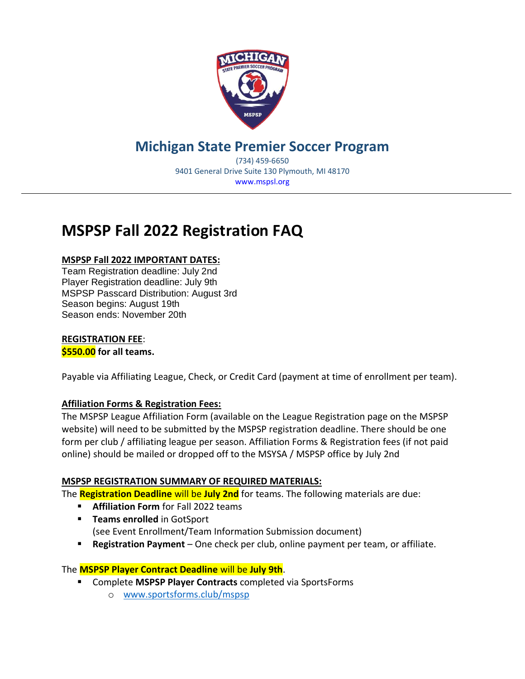

### **Michigan State Premier Soccer Program**

(734) 459-6650 9401 General Drive Suite 130 Plymouth, MI 48170 www.mspsl.org

### **MSPSP Fall 2022 Registration FAQ**

#### **MSPSP Fall 2022 IMPORTANT DATES:**

Team Registration deadline: July 2nd Player Registration deadline: July 9th MSPSP Passcard Distribution: August 3rd Season begins: August 19th Season ends: November 20th

#### **REGISTRATION FEE**:

**\$550.00 for all teams.**

Payable via Affiliating League, Check, or Credit Card (payment at time of enrollment per team).

#### **Affiliation Forms & Registration Fees:**

The MSPSP League Affiliation Form (available on the League Registration page on the MSPSP website) will need to be submitted by the MSPSP registration deadline. There should be one form per club / affiliating league per season. Affiliation Forms & Registration fees (if not paid online) should be mailed or dropped off to the MSYSA / MSPSP office by July 2nd

#### **MSPSP REGISTRATION SUMMARY OF REQUIRED MATERIALS:**

The **Registration Deadline** will be **July 2nd** for teams. The following materials are due:

- **Affiliation Form** for Fall 2022 teams
- **EXECUTE:** Teams enrolled in GotSport (see Event Enrollment/Team Information Submission document)
- **Registration Payment** One check per club, online payment per team, or affiliate.

#### The **MSPSP Player Contract Deadline** will be **July 9th**.

- Complete **MSPSP Player Contracts** completed via SportsForms
	- o [www.sportsforms.club/mspsp](http://www.sportsforms.club/mspsp)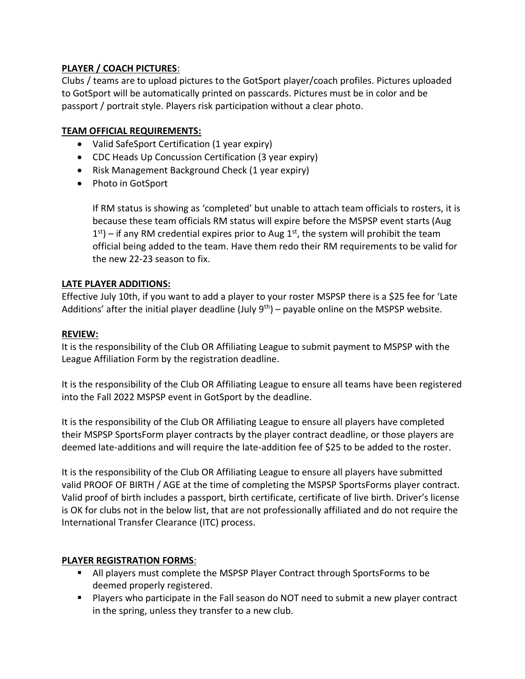#### **PLAYER / COACH PICTURES**:

Clubs / teams are to upload pictures to the GotSport player/coach profiles. Pictures uploaded to GotSport will be automatically printed on passcards. Pictures must be in color and be passport / portrait style. Players risk participation without a clear photo.

#### **TEAM OFFICIAL REQUIREMENTS:**

- Valid SafeSport Certification (1 year expiry)
- CDC Heads Up Concussion Certification (3 year expiry)
- Risk Management Background Check (1 year expiry)
- Photo in GotSport

If RM status is showing as 'completed' but unable to attach team officials to rosters, it is because these team officials RM status will expire before the MSPSP event starts (Aug  $1<sup>st</sup>$ ) – if any RM credential expires prior to Aug  $1<sup>st</sup>$ , the system will prohibit the team official being added to the team. Have them redo their RM requirements to be valid for the new 22-23 season to fix.

#### **LATE PLAYER ADDITIONS:**

Effective July 10th, if you want to add a player to your roster MSPSP there is a \$25 fee for 'Late Additions' after the initial player deadline (July  $9<sup>th</sup>$ ) – payable online on the MSPSP website.

#### **REVIEW:**

It is the responsibility of the Club OR Affiliating League to submit payment to MSPSP with the League Affiliation Form by the registration deadline.

It is the responsibility of the Club OR Affiliating League to ensure all teams have been registered into the Fall 2022 MSPSP event in GotSport by the deadline.

It is the responsibility of the Club OR Affiliating League to ensure all players have completed their MSPSP SportsForm player contracts by the player contract deadline, or those players are deemed late-additions and will require the late-addition fee of \$25 to be added to the roster.

It is the responsibility of the Club OR Affiliating League to ensure all players have submitted valid PROOF OF BIRTH / AGE at the time of completing the MSPSP SportsForms player contract. Valid proof of birth includes a passport, birth certificate, certificate of live birth. Driver's license is OK for clubs not in the below list, that are not professionally affiliated and do not require the International Transfer Clearance (ITC) process.

#### **PLAYER REGISTRATION FORMS**:

- All players must complete the MSPSP Player Contract through SportsForms to be deemed properly registered.
- Players who participate in the Fall season do NOT need to submit a new player contract in the spring, unless they transfer to a new club.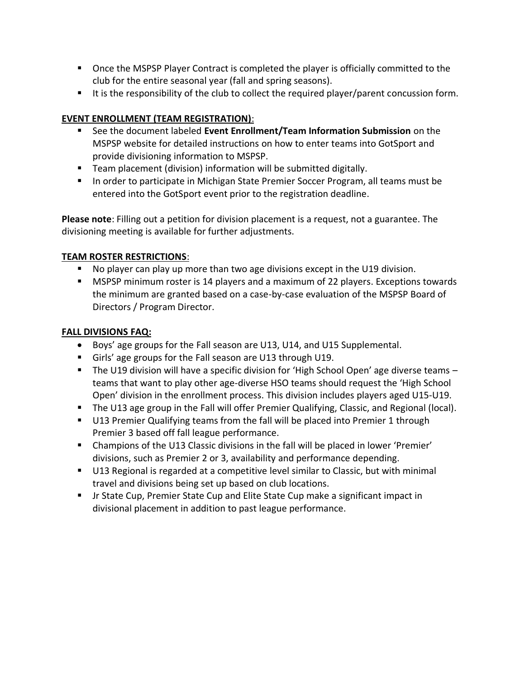- Once the MSPSP Player Contract is completed the player is officially committed to the club for the entire seasonal year (fall and spring seasons).
- It is the responsibility of the club to collect the required player/parent concussion form.

#### **EVENT ENROLLMENT (TEAM REGISTRATION)**:

- See the document labeled **Event Enrollment/Team Information Submission** on the MSPSP website for detailed instructions on how to enter teams into GotSport and provide divisioning information to MSPSP.
- Team placement (division) information will be submitted digitally.
- In order to participate in Michigan State Premier Soccer Program, all teams must be entered into the GotSport event prior to the registration deadline.

**Please note**: Filling out a petition for division placement is a request, not a guarantee. The divisioning meeting is available for further adjustments.

#### **TEAM ROSTER RESTRICTIONS**:

- No player can play up more than two age divisions except in the U19 division.
- **■** MSPSP minimum roster is 14 players and a maximum of 22 players. Exceptions towards the minimum are granted based on a case-by-case evaluation of the MSPSP Board of Directors / Program Director.

#### **FALL DIVISIONS FAQ:**

- Boys' age groups for the Fall season are U13, U14, and U15 Supplemental.
- Girls' age groups for the Fall season are U13 through U19.
- The U19 division will have a specific division for 'High School Open' age diverse teams teams that want to play other age-diverse HSO teams should request the 'High School Open' division in the enrollment process. This division includes players aged U15-U19.
- The U13 age group in the Fall will offer Premier Qualifying, Classic, and Regional (local).
- U13 Premier Qualifying teams from the fall will be placed into Premier 1 through Premier 3 based off fall league performance.
- Champions of the U13 Classic divisions in the fall will be placed in lower 'Premier' divisions, such as Premier 2 or 3, availability and performance depending.
- U13 Regional is regarded at a competitive level similar to Classic, but with minimal travel and divisions being set up based on club locations.
- Jr State Cup, Premier State Cup and Elite State Cup make a significant impact in divisional placement in addition to past league performance.